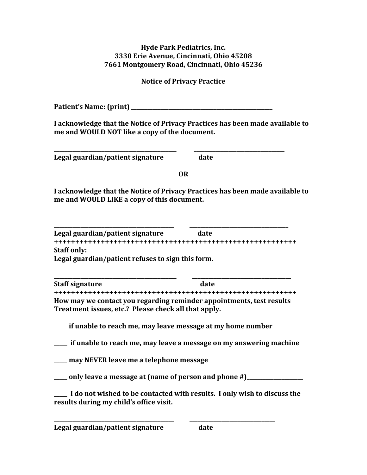## **Hyde Park Pediatrics, Inc. 3330 Erie Avenue, Cincinnati, Ohio 45208 7661 Montgomery Road, Cincinnati, Ohio 45236**

**Notice of Privacy Practice**

**Patient's Name: (print) \_\_\_\_\_\_\_\_\_\_\_\_\_\_\_\_\_\_\_\_\_\_\_\_\_\_\_\_\_\_\_\_\_\_\_\_\_\_\_\_\_\_\_\_\_\_\_\_\_\_\_\_\_**

**I acknowledge that the Notice of Privacy Practices has been made available to me and WOULD NOT like a copy of the document.**

**\_\_\_\_\_\_\_\_\_\_\_\_\_\_\_\_\_\_\_\_\_\_\_\_\_\_\_\_\_\_\_\_\_\_\_\_\_\_\_\_\_\_\_\_\_\_ \_\_\_\_\_\_\_\_\_\_\_\_\_\_\_\_\_\_\_\_\_\_\_\_\_\_\_\_\_\_\_\_\_\_ Legal guardian/patient signature date**

**OR**

**I acknowledge that the Notice of Privacy Practices has been made available to me and WOULD LIKE a copy of this document.**

**\_\_\_\_\_\_\_\_\_\_\_\_\_\_\_\_\_\_\_\_\_\_\_\_\_\_\_\_\_\_\_\_\_\_\_\_\_\_\_\_\_\_\_\_\_ \_\_\_\_\_\_\_\_\_\_\_\_\_\_\_\_\_\_\_\_\_\_\_\_\_\_\_\_\_\_\_\_\_\_\_\_\_ Legal guardian/patient signature date +++++++++++++++++++++++++++++++++++++++++++++++++++++++++ Staff only: Legal guardian/patient refuses to sign this form.**

**\_\_\_\_\_\_\_\_\_\_\_\_\_\_\_\_\_\_\_\_\_\_\_\_\_\_\_\_\_\_\_\_\_\_\_\_\_\_\_\_\_\_\_\_\_\_ \_\_\_\_\_\_\_\_\_\_\_\_\_\_\_\_\_\_\_\_\_\_\_\_\_\_\_\_\_\_\_\_\_\_\_\_\_ Staff** signature date **+++++++++++++++++++++++++++++++++++++++++++++++++++++++++ How may we contact you regarding reminder appointments, test results Treatment issues, etc.? Please check all that apply.**

**\_\_\_\_\_ if unable to reach me, may leave message at my home number**

**\_\_\_\_\_ if unable to reach me, may leave a message on my answering machine**

**\_\_\_\_\_ may NEVER leave me a telephone message**

**\_\_\_\_\_ only leave a message at (name of person and phone #)\_\_\_\_\_\_\_\_\_\_\_\_\_\_\_\_\_\_\_\_\_**

**\_\_\_\_\_ I do not wished to be contacted with results. I only wish to discuss the results during my child's office visit.**

**\_\_\_\_\_\_\_\_\_\_\_\_\_\_\_\_\_\_\_\_\_\_\_\_\_\_\_\_\_\_\_\_\_\_\_\_\_\_\_\_\_\_\_\_\_ \_\_\_\_\_\_\_\_\_\_\_\_\_\_\_\_\_\_\_\_\_\_\_\_\_\_\_\_\_\_\_\_**